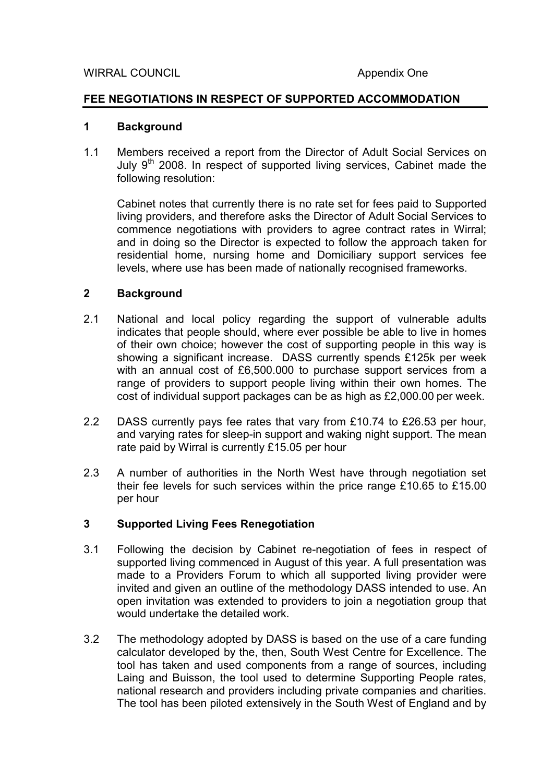#### FEE NEGOTIATIONS IN RESPECT OF SUPPORTED ACCOMMODATION

#### 1 Background

1.1 Members received a report from the Director of Adult Social Services on July  $9<sup>th</sup>$  2008. In respect of supported living services, Cabinet made the following resolution:

 Cabinet notes that currently there is no rate set for fees paid to Supported living providers, and therefore asks the Director of Adult Social Services to commence negotiations with providers to agree contract rates in Wirral; and in doing so the Director is expected to follow the approach taken for residential home, nursing home and Domiciliary support services fee levels, where use has been made of nationally recognised frameworks.

## 2 Background

- 2.1 National and local policy regarding the support of vulnerable adults indicates that people should, where ever possible be able to live in homes of their own choice; however the cost of supporting people in this way is showing a significant increase. DASS currently spends £125k per week with an annual cost of £6,500,000 to purchase support services from a range of providers to support people living within their own homes. The cost of individual support packages can be as high as £2,000.00 per week.
- 2.2 DASS currently pays fee rates that vary from £10.74 to £26.53 per hour, and varying rates for sleep-in support and waking night support. The mean rate paid by Wirral is currently £15.05 per hour
- 2.3 A number of authorities in the North West have through negotiation set their fee levels for such services within the price range £10.65 to £15.00 per hour

## 3 Supported Living Fees Renegotiation

- 3.1 Following the decision by Cabinet re-negotiation of fees in respect of supported living commenced in August of this year. A full presentation was made to a Providers Forum to which all supported living provider were invited and given an outline of the methodology DASS intended to use. An open invitation was extended to providers to join a negotiation group that would undertake the detailed work.
- 3.2 The methodology adopted by DASS is based on the use of a care funding calculator developed by the, then, South West Centre for Excellence. The tool has taken and used components from a range of sources, including Laing and Buisson, the tool used to determine Supporting People rates, national research and providers including private companies and charities. The tool has been piloted extensively in the South West of England and by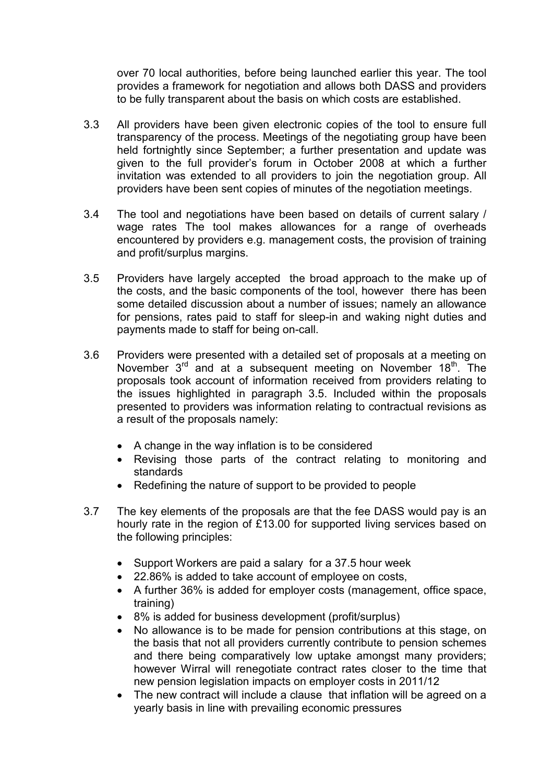over 70 local authorities, before being launched earlier this year. The tool provides a framework for negotiation and allows both DASS and providers to be fully transparent about the basis on which costs are established.

- 3.3 All providers have been given electronic copies of the tool to ensure full transparency of the process. Meetings of the negotiating group have been held fortnightly since September; a further presentation and update was given to the full provider's forum in October 2008 at which a further invitation was extended to all providers to join the negotiation group. All providers have been sent copies of minutes of the negotiation meetings.
- 3.4 The tool and negotiations have been based on details of current salary / wage rates The tool makes allowances for a range of overheads encountered by providers e.g. management costs, the provision of training and profit/surplus margins.
- 3.5 Providers have largely accepted the broad approach to the make up of the costs, and the basic components of the tool, however there has been some detailed discussion about a number of issues; namely an allowance for pensions, rates paid to staff for sleep-in and waking night duties and payments made to staff for being on-call.
- 3.6 Providers were presented with a detailed set of proposals at a meeting on November  $3<sup>rd</sup>$  and at a subsequent meeting on November  $18<sup>th</sup>$ . The proposals took account of information received from providers relating to the issues highlighted in paragraph 3.5. Included within the proposals presented to providers was information relating to contractual revisions as a result of the proposals namely:
	- A change in the way inflation is to be considered
	- Revising those parts of the contract relating to monitoring and standards
	- Redefining the nature of support to be provided to people
- 3.7 The key elements of the proposals are that the fee DASS would pay is an hourly rate in the region of £13.00 for supported living services based on the following principles:
	- Support Workers are paid a salary for a 37.5 hour week
	- 22.86% is added to take account of employee on costs,
	- A further 36% is added for employer costs (management, office space, training)
	- 8% is added for business development (profit/surplus)
	- No allowance is to be made for pension contributions at this stage, on the basis that not all providers currently contribute to pension schemes and there being comparatively low uptake amongst many providers; however Wirral will renegotiate contract rates closer to the time that new pension legislation impacts on employer costs in 2011/12
	- The new contract will include a clause that inflation will be agreed on a yearly basis in line with prevailing economic pressures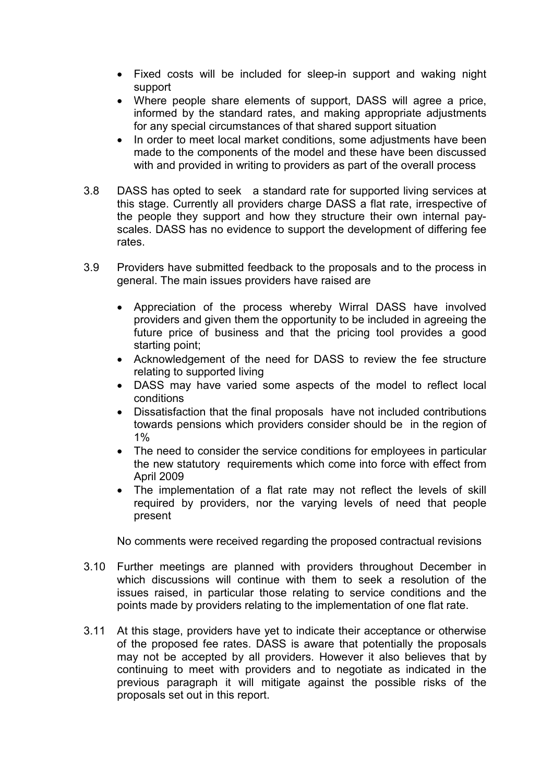- Fixed costs will be included for sleep-in support and waking night support
- Where people share elements of support, DASS will agree a price, informed by the standard rates, and making appropriate adjustments for any special circumstances of that shared support situation
- In order to meet local market conditions, some adjustments have been made to the components of the model and these have been discussed with and provided in writing to providers as part of the overall process
- 3.8 DASS has opted to seek a standard rate for supported living services at this stage. Currently all providers charge DASS a flat rate, irrespective of the people they support and how they structure their own internal payscales. DASS has no evidence to support the development of differing fee rates.
- 3.9 Providers have submitted feedback to the proposals and to the process in general. The main issues providers have raised are
	- Appreciation of the process whereby Wirral DASS have involved providers and given them the opportunity to be included in agreeing the future price of business and that the pricing tool provides a good starting point;
	- Acknowledgement of the need for DASS to review the fee structure relating to supported living
	- DASS may have varied some aspects of the model to reflect local conditions
	- Dissatisfaction that the final proposals have not included contributions towards pensions which providers consider should be in the region of 1%
	- The need to consider the service conditions for employees in particular the new statutory requirements which come into force with effect from April 2009
	- The implementation of a flat rate may not reflect the levels of skill required by providers, nor the varying levels of need that people present

No comments were received regarding the proposed contractual revisions

- 3.10 Further meetings are planned with providers throughout December in which discussions will continue with them to seek a resolution of the issues raised, in particular those relating to service conditions and the points made by providers relating to the implementation of one flat rate.
- 3.11 At this stage, providers have yet to indicate their acceptance or otherwise of the proposed fee rates. DASS is aware that potentially the proposals may not be accepted by all providers. However it also believes that by continuing to meet with providers and to negotiate as indicated in the previous paragraph it will mitigate against the possible risks of the proposals set out in this report.